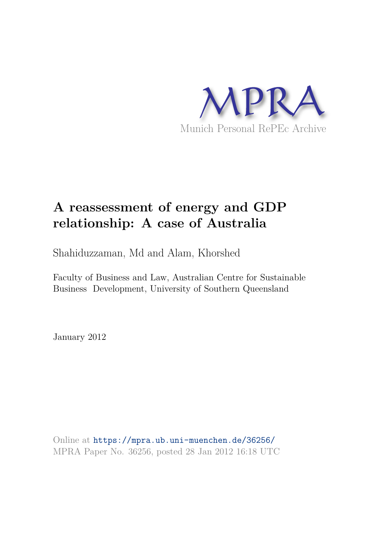

# **A reassessment of energy and GDP relationship: A case of Australia**

Shahiduzzaman, Md and Alam, Khorshed

Faculty of Business and Law, Australian Centre for Sustainable Business Development, University of Southern Queensland

January 2012

Online at https://mpra.ub.uni-muenchen.de/36256/ MPRA Paper No. 36256, posted 28 Jan 2012 16:18 UTC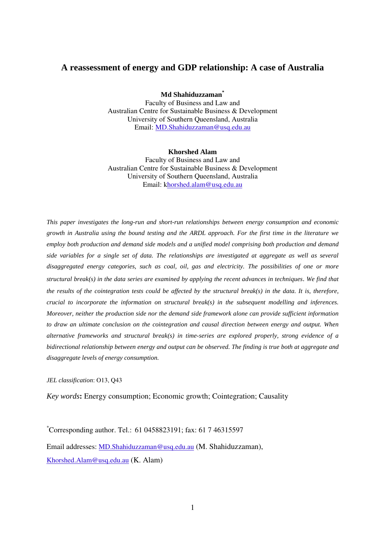# **A reassessment of energy and GDP relationship: A case of Australia**

**Md Shahiduzzaman\***

Faculty of Business and Law and Australian Centre for Sustainable Business & Development University of Southern Queensland, Australia Email: MD.Shahiduzzaman@usq.edu.au

**Khorshed Alam**  Faculty of Business and Law and Australian Centre for Sustainable Business & Development University of Southern Queensland, Australia Email: khorshed.alam@usq.edu.au

*This paper investigates the long-run and short-run relationships between energy consumption and economic growth in Australia using the bound testing and the ARDL approach. For the first time in the literature we employ both production and demand side models and a unified model comprising both production and demand side variables for a single set of data. The relationships are investigated at aggregate as well as several disaggregated energy categories, such as coal, oil, gas and electricity. The possibilities of one or more structural break(s) in the data series are examined by applying the recent advances in techniques*. *We find that the results of the cointegration tests could be affected by the structural break(s) in the data. It is, therefore, crucial to incorporate the information on structural break(s) in the subsequent modelling and inferences. Moreover, neither the production side nor the demand side framework alone can provide sufficient information to draw an ultimate conclusion on the cointegration and causal direction between energy and output. When alternative frameworks and structural break(s) in time-series are explored properly, strong evidence of a bidirectional relationship between energy and output can be observed. The finding is true both at aggregate and disaggregate levels of energy consumption.* 

#### *JEL classification*: O13, Q43

*Key words***:** Energy consumption; Economic growth; Cointegration; Causality

\*Corresponding author. Tel.: 61 0458823191; fax: 61 7 46315597

Email addresses: MD.Shahiduzzaman@usq.edu.au (M. Shahiduzzaman), Khorshed.Alam@usq.edu.au (K. Alam)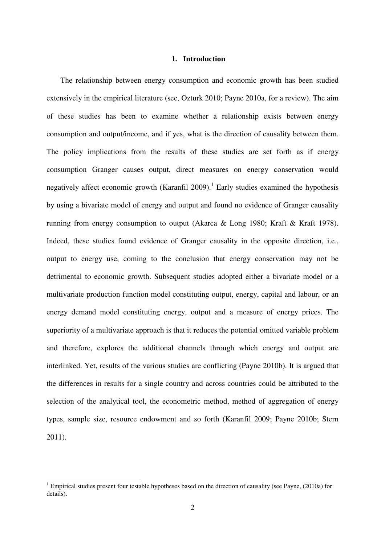## **1. Introduction**

The relationship between energy consumption and economic growth has been studied extensively in the empirical literature (see, Ozturk 2010; Payne 2010a, for a review). The aim of these studies has been to examine whether a relationship exists between energy consumption and output/income, and if yes, what is the direction of causality between them. The policy implications from the results of these studies are set forth as if energy consumption Granger causes output, direct measures on energy conservation would negatively affect economic growth (Karanfil 2009).<sup>1</sup> Early studies examined the hypothesis by using a bivariate model of energy and output and found no evidence of Granger causality running from energy consumption to output (Akarca & Long 1980; Kraft & Kraft 1978). Indeed, these studies found evidence of Granger causality in the opposite direction, i.e., output to energy use, coming to the conclusion that energy conservation may not be detrimental to economic growth. Subsequent studies adopted either a bivariate model or a multivariate production function model constituting output, energy, capital and labour, or an energy demand model constituting energy, output and a measure of energy prices. The superiority of a multivariate approach is that it reduces the potential omitted variable problem and therefore, explores the additional channels through which energy and output are interlinked. Yet, results of the various studies are conflicting (Payne 2010b). It is argued that the differences in results for a single country and across countries could be attributed to the selection of the analytical tool, the econometric method, method of aggregation of energy types, sample size, resource endowment and so forth (Karanfil 2009; Payne 2010b; Stern 2011).

 $\overline{a}$ 

 $1$  Empirical studies present four testable hypotheses based on the direction of causality (see Payne, (2010a) for details).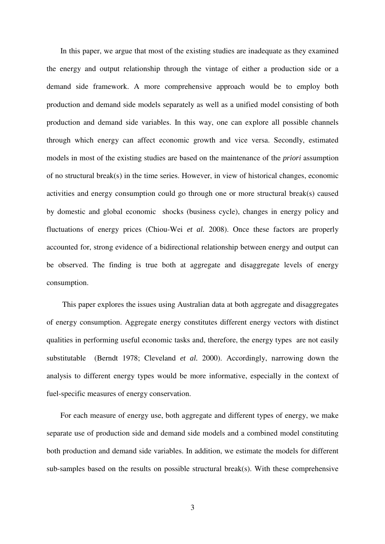In this paper, we argue that most of the existing studies are inadequate as they examined the energy and output relationship through the vintage of either a production side or a demand side framework. A more comprehensive approach would be to employ both production and demand side models separately as well as a unified model consisting of both production and demand side variables. In this way, one can explore all possible channels through which energy can affect economic growth and vice versa. Secondly, estimated models in most of the existing studies are based on the maintenance of the *priori* assumption of no structural break(s) in the time series. However, in view of historical changes, economic activities and energy consumption could go through one or more structural break(s) caused by domestic and global economic shocks (business cycle), changes in energy policy and fluctuations of energy prices (Chiou-Wei *et al.* 2008). Once these factors are properly accounted for, strong evidence of a bidirectional relationship between energy and output can be observed. The finding is true both at aggregate and disaggregate levels of energy consumption.

 This paper explores the issues using Australian data at both aggregate and disaggregates of energy consumption. Aggregate energy constitutes different energy vectors with distinct qualities in performing useful economic tasks and, therefore, the energy types are not easily substitutable (Berndt 1978; Cleveland *et al.* 2000). Accordingly, narrowing down the analysis to different energy types would be more informative, especially in the context of fuel-specific measures of energy conservation.

For each measure of energy use, both aggregate and different types of energy, we make separate use of production side and demand side models and a combined model constituting both production and demand side variables. In addition, we estimate the models for different sub-samples based on the results on possible structural break(s). With these comprehensive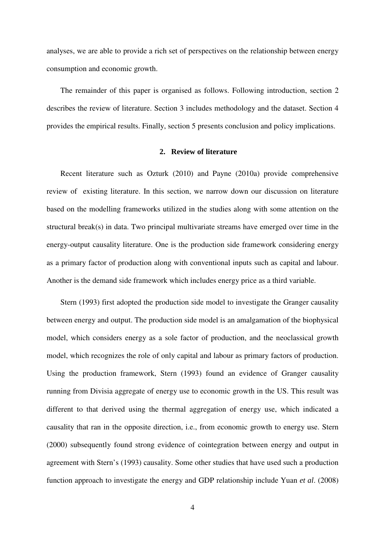analyses, we are able to provide a rich set of perspectives on the relationship between energy consumption and economic growth.

The remainder of this paper is organised as follows. Following introduction, section 2 describes the review of literature. Section 3 includes methodology and the dataset. Section 4 provides the empirical results. Finally, section 5 presents conclusion and policy implications.

# **2. Review of literature**

Recent literature such as Ozturk (2010) and Payne (2010a) provide comprehensive review of existing literature. In this section, we narrow down our discussion on literature based on the modelling frameworks utilized in the studies along with some attention on the structural break(s) in data. Two principal multivariate streams have emerged over time in the energy-output causality literature. One is the production side framework considering energy as a primary factor of production along with conventional inputs such as capital and labour. Another is the demand side framework which includes energy price as a third variable.

Stern (1993) first adopted the production side model to investigate the Granger causality between energy and output. The production side model is an amalgamation of the biophysical model, which considers energy as a sole factor of production, and the neoclassical growth model, which recognizes the role of only capital and labour as primary factors of production. Using the production framework, Stern (1993) found an evidence of Granger causality running from Divisia aggregate of energy use to economic growth in the US. This result was different to that derived using the thermal aggregation of energy use, which indicated a causality that ran in the opposite direction, i.e., from economic growth to energy use. Stern (2000) subsequently found strong evidence of cointegration between energy and output in agreement with Stern's (1993) causality. Some other studies that have used such a production function approach to investigate the energy and GDP relationship include Yuan *et al*. (2008)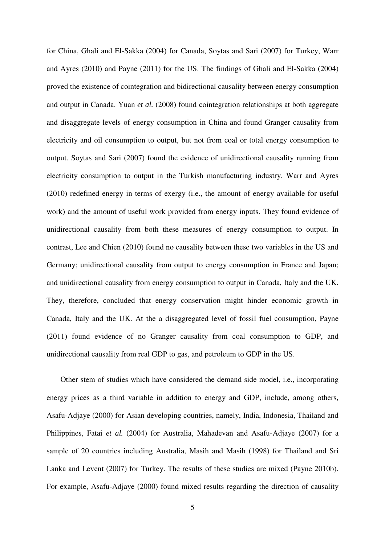for China, Ghali and El-Sakka (2004) for Canada, Soytas and Sari (2007) for Turkey, Warr and Ayres (2010) and Payne (2011) for the US. The findings of Ghali and El-Sakka (2004) proved the existence of cointegration and bidirectional causality between energy consumption and output in Canada. Yuan *et al.* (2008) found cointegration relationships at both aggregate and disaggregate levels of energy consumption in China and found Granger causality from electricity and oil consumption to output, but not from coal or total energy consumption to output. Soytas and Sari (2007) found the evidence of unidirectional causality running from electricity consumption to output in the Turkish manufacturing industry. Warr and Ayres (2010) redefined energy in terms of exergy (i.e., the amount of energy available for useful work) and the amount of useful work provided from energy inputs. They found evidence of unidirectional causality from both these measures of energy consumption to output. In contrast, Lee and Chien (2010) found no causality between these two variables in the US and Germany; unidirectional causality from output to energy consumption in France and Japan; and unidirectional causality from energy consumption to output in Canada, Italy and the UK. They, therefore, concluded that energy conservation might hinder economic growth in Canada, Italy and the UK. At the a disaggregated level of fossil fuel consumption, Payne (2011) found evidence of no Granger causality from coal consumption to GDP, and unidirectional causality from real GDP to gas, and petroleum to GDP in the US.

Other stem of studies which have considered the demand side model, i.e., incorporating energy prices as a third variable in addition to energy and GDP, include, among others, Asafu-Adjaye (2000) for Asian developing countries, namely, India, Indonesia, Thailand and Philippines, Fatai *et al.* (2004) for Australia, Mahadevan and Asafu-Adjaye (2007) for a sample of 20 countries including Australia, Masih and Masih (1998) for Thailand and Sri Lanka and Levent (2007) for Turkey. The results of these studies are mixed (Payne 2010b). For example, Asafu-Adjaye (2000) found mixed results regarding the direction of causality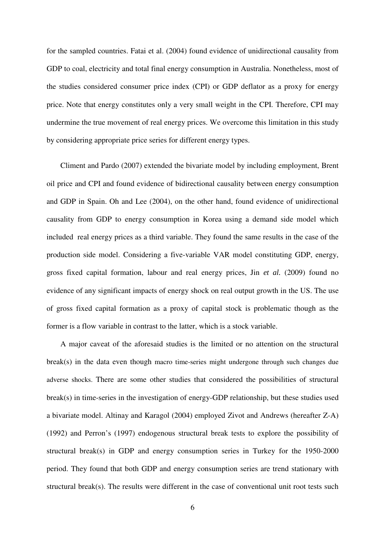for the sampled countries. Fatai et al. (2004) found evidence of unidirectional causality from GDP to coal, electricity and total final energy consumption in Australia. Nonetheless, most of the studies considered consumer price index (CPI) or GDP deflator as a proxy for energy price. Note that energy constitutes only a very small weight in the CPI. Therefore, CPI may undermine the true movement of real energy prices. We overcome this limitation in this study by considering appropriate price series for different energy types.

Climent and Pardo (2007) extended the bivariate model by including employment, Brent oil price and CPI and found evidence of bidirectional causality between energy consumption and GDP in Spain. Oh and Lee (2004), on the other hand, found evidence of unidirectional causality from GDP to energy consumption in Korea using a demand side model which included real energy prices as a third variable. They found the same results in the case of the production side model. Considering a five-variable VAR model constituting GDP, energy, gross fixed capital formation, labour and real energy prices, Jin *et al.* (2009) found no evidence of any significant impacts of energy shock on real output growth in the US. The use of gross fixed capital formation as a proxy of capital stock is problematic though as the former is a flow variable in contrast to the latter, which is a stock variable.

A major caveat of the aforesaid studies is the limited or no attention on the structural break(s) in the data even though macro time-series might undergone through such changes due adverse shocks. There are some other studies that considered the possibilities of structural break(s) in time-series in the investigation of energy-GDP relationship, but these studies used a bivariate model. Altinay and Karagol (2004) employed Zivot and Andrews (hereafter Z-A) (1992) and Perron's (1997) endogenous structural break tests to explore the possibility of structural break(s) in GDP and energy consumption series in Turkey for the 1950-2000 period. They found that both GDP and energy consumption series are trend stationary with structural break(s). The results were different in the case of conventional unit root tests such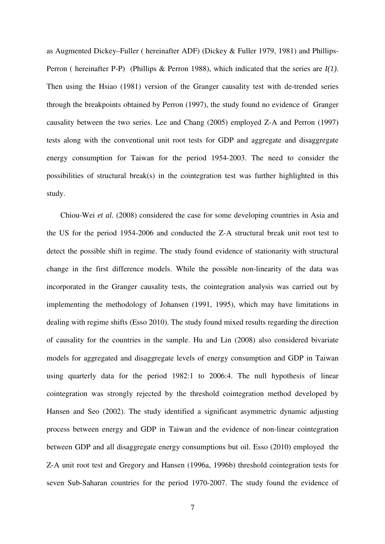as Augmented Dickey–Fuller ( hereinafter ADF) (Dickey & Fuller 1979, 1981) and Phillips-Perron ( hereinafter P-P) (Phillips & Perron 1988), which indicated that the series are *I(1)*. Then using the Hsiao (1981) version of the Granger causality test with de-trended series through the breakpoints obtained by Perron (1997), the study found no evidence of Granger causality between the two series. Lee and Chang (2005) employed Z-A and Perron (1997) tests along with the conventional unit root tests for GDP and aggregate and disaggregate energy consumption for Taiwan for the period 1954-2003. The need to consider the possibilities of structural break(s) in the cointegration test was further highlighted in this study.

Chiou-Wei *et al.* (2008) considered the case for some developing countries in Asia and the US for the period 1954-2006 and conducted the Z-A structural break unit root test to detect the possible shift in regime. The study found evidence of stationarity with structural change in the first difference models. While the possible non-linearity of the data was incorporated in the Granger causality tests, the cointegration analysis was carried out by implementing the methodology of Johansen (1991, 1995), which may have limitations in dealing with regime shifts (Esso 2010). The study found mixed results regarding the direction of causality for the countries in the sample. Hu and Lin (2008) also considered bivariate models for aggregated and disaggregate levels of energy consumption and GDP in Taiwan using quarterly data for the period 1982:1 to 2006:4. The null hypothesis of linear cointegration was strongly rejected by the threshold cointegration method developed by Hansen and Seo (2002). The study identified a significant asymmetric dynamic adjusting process between energy and GDP in Taiwan and the evidence of non-linear cointegration between GDP and all disaggregate energy consumptions but oil. Esso (2010) employed the Z-A unit root test and Gregory and Hansen (1996a, 1996b) threshold cointegration tests for seven Sub-Saharan countries for the period 1970-2007. The study found the evidence of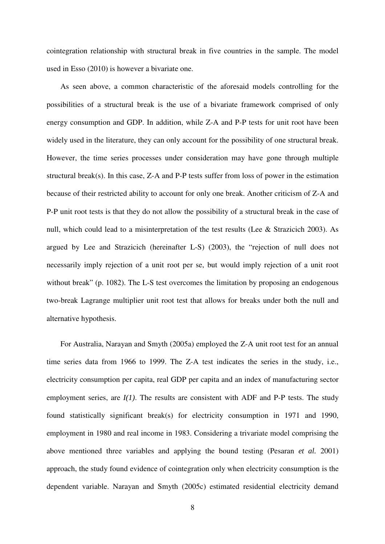cointegration relationship with structural break in five countries in the sample. The model used in Esso (2010) is however a bivariate one.

As seen above, a common characteristic of the aforesaid models controlling for the possibilities of a structural break is the use of a bivariate framework comprised of only energy consumption and GDP. In addition, while Z-A and P-P tests for unit root have been widely used in the literature, they can only account for the possibility of one structural break. However, the time series processes under consideration may have gone through multiple structural break(s). In this case, Z-A and P-P tests suffer from loss of power in the estimation because of their restricted ability to account for only one break. Another criticism of Z-A and P-P unit root tests is that they do not allow the possibility of a structural break in the case of null, which could lead to a misinterpretation of the test results (Lee & Strazicich 2003). As argued by Lee and Strazicich (hereinafter L-S) (2003), the "rejection of null does not necessarily imply rejection of a unit root per se, but would imply rejection of a unit root without break" (p. 1082). The L-S test overcomes the limitation by proposing an endogenous two-break Lagrange multiplier unit root test that allows for breaks under both the null and alternative hypothesis.

For Australia, Narayan and Smyth (2005a) employed the Z-A unit root test for an annual time series data from 1966 to 1999. The Z-A test indicates the series in the study, i.e., electricity consumption per capita, real GDP per capita and an index of manufacturing sector employment series, are *I(1)*. The results are consistent with ADF and P-P tests. The study found statistically significant break(s) for electricity consumption in 1971 and 1990, employment in 1980 and real income in 1983. Considering a trivariate model comprising the above mentioned three variables and applying the bound testing (Pesaran *et al.* 2001) approach, the study found evidence of cointegration only when electricity consumption is the dependent variable. Narayan and Smyth (2005c) estimated residential electricity demand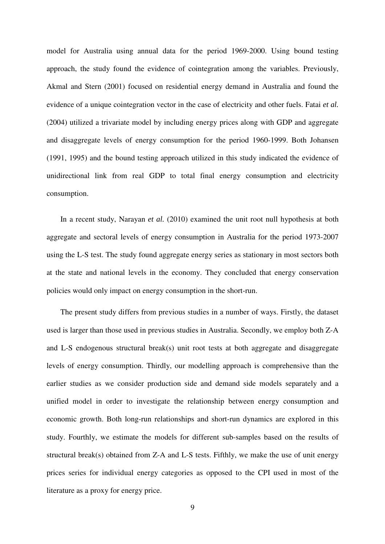model for Australia using annual data for the period 1969-2000. Using bound testing approach, the study found the evidence of cointegration among the variables. Previously, Akmal and Stern (2001) focused on residential energy demand in Australia and found the evidence of a unique cointegration vector in the case of electricity and other fuels. Fatai *et al.*  (2004) utilized a trivariate model by including energy prices along with GDP and aggregate and disaggregate levels of energy consumption for the period 1960-1999. Both Johansen (1991, 1995) and the bound testing approach utilized in this study indicated the evidence of unidirectional link from real GDP to total final energy consumption and electricity consumption.

In a recent study, Narayan *et al.* (2010) examined the unit root null hypothesis at both aggregate and sectoral levels of energy consumption in Australia for the period 1973-2007 using the L-S test. The study found aggregate energy series as stationary in most sectors both at the state and national levels in the economy. They concluded that energy conservation policies would only impact on energy consumption in the short-run.

The present study differs from previous studies in a number of ways. Firstly, the dataset used is larger than those used in previous studies in Australia. Secondly, we employ both Z-A and L-S endogenous structural break(s) unit root tests at both aggregate and disaggregate levels of energy consumption. Thirdly, our modelling approach is comprehensive than the earlier studies as we consider production side and demand side models separately and a unified model in order to investigate the relationship between energy consumption and economic growth. Both long-run relationships and short-run dynamics are explored in this study. Fourthly, we estimate the models for different sub-samples based on the results of structural break(s) obtained from Z-A and L-S tests. Fifthly, we make the use of unit energy prices series for individual energy categories as opposed to the CPI used in most of the literature as a proxy for energy price.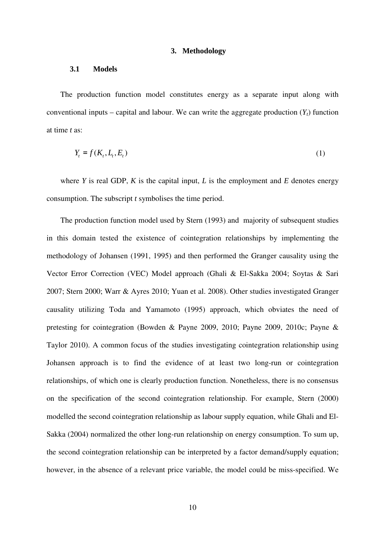### **3. Methodology**

#### **3.1 Models**

The production function model constitutes energy as a separate input along with conventional inputs – capital and labour. We can write the aggregate production  $(Y_t)$  function at time *t* as:

$$
Y_t = f(K_t, L_t, E_t) \tag{1}
$$

where *Y* is real GDP, *K* is the capital input, *L* is the employment and *E* denotes energy consumption. The subscript *t* symbolises the time period.

The production function model used by Stern (1993) and majority of subsequent studies in this domain tested the existence of cointegration relationships by implementing the methodology of Johansen (1991, 1995) and then performed the Granger causality using the Vector Error Correction (VEC) Model approach (Ghali & El-Sakka 2004; Soytas & Sari 2007; Stern 2000; Warr & Ayres 2010; Yuan et al. 2008). Other studies investigated Granger causality utilizing Toda and Yamamoto (1995) approach, which obviates the need of pretesting for cointegration (Bowden & Payne 2009, 2010; Payne 2009, 2010c; Payne & Taylor 2010). A common focus of the studies investigating cointegration relationship using Johansen approach is to find the evidence of at least two long-run or cointegration relationships, of which one is clearly production function. Nonetheless, there is no consensus on the specification of the second cointegration relationship. For example, Stern (2000) modelled the second cointegration relationship as labour supply equation, while Ghali and El-Sakka (2004) normalized the other long-run relationship on energy consumption. To sum up, the second cointegration relationship can be interpreted by a factor demand/supply equation; however, in the absence of a relevant price variable, the model could be miss-specified. We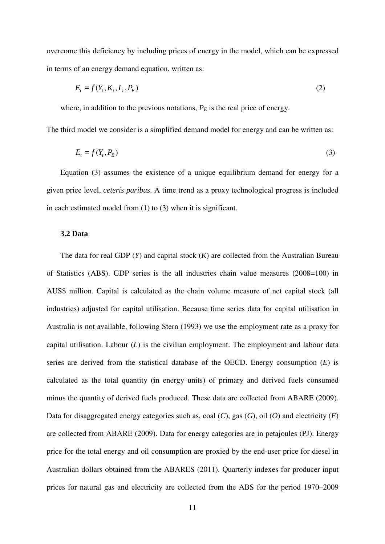overcome this deficiency by including prices of energy in the model, which can be expressed in terms of an energy demand equation, written as:

$$
E_t = f(Y_t, K_t, L_t, P_E) \tag{2}
$$

where, in addition to the previous notations,  $P_E$  is the real price of energy.

The third model we consider is a simplified demand model for energy and can be written as:

$$
E_t = f(Y_t, P_E) \tag{3}
$$

Equation (3) assumes the existence of a unique equilibrium demand for energy for a given price level, *ceteris paribus*. A time trend as a proxy technological progress is included in each estimated model from (1) to (3) when it is significant.

## **3.2 Data**

The data for real GDP (*Y*) and capital stock (*K*) are collected from the Australian Bureau of Statistics (ABS). GDP series is the all industries chain value measures (2008=100) in AUS\$ million. Capital is calculated as the chain volume measure of net capital stock (all industries) adjusted for capital utilisation. Because time series data for capital utilisation in Australia is not available, following Stern (1993) we use the employment rate as a proxy for capital utilisation. Labour (*L*) is the civilian employment. The employment and labour data series are derived from the statistical database of the OECD. Energy consumption (*E*) is calculated as the total quantity (in energy units) of primary and derived fuels consumed minus the quantity of derived fuels produced. These data are collected from ABARE (2009). Data for disaggregated energy categories such as, coal (*C*), gas (*G*), oil (*O*) and electricity (*E*) are collected from ABARE (2009). Data for energy categories are in petajoules (PJ). Energy price for the total energy and oil consumption are proxied by the end-user price for diesel in Australian dollars obtained from the ABARES (2011). Quarterly indexes for producer input prices for natural gas and electricity are collected from the ABS for the period 1970–2009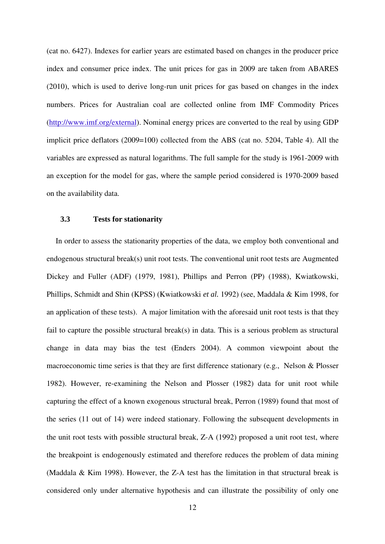(cat no. 6427). Indexes for earlier years are estimated based on changes in the producer price index and consumer price index. The unit prices for gas in 2009 are taken from ABARES (2010), which is used to derive long-run unit prices for gas based on changes in the index numbers. Prices for Australian coal are collected online from IMF Commodity Prices (http://www.imf.org/external). Nominal energy prices are converted to the real by using GDP implicit price deflators (2009=100) collected from the ABS (cat no. 5204, Table 4). All the variables are expressed as natural logarithms. The full sample for the study is 1961-2009 with an exception for the model for gas, where the sample period considered is 1970-2009 based on the availability data.

### **3.3 Tests for stationarity**

In order to assess the stationarity properties of the data, we employ both conventional and endogenous structural break(s) unit root tests. The conventional unit root tests are Augmented Dickey and Fuller (ADF) (1979, 1981), Phillips and Perron (PP) (1988), Kwiatkowski, Phillips, Schmidt and Shin (KPSS) (Kwiatkowski *et al.* 1992) (see, Maddala & Kim 1998, for an application of these tests). A major limitation with the aforesaid unit root tests is that they fail to capture the possible structural break(s) in data. This is a serious problem as structural change in data may bias the test (Enders 2004). A common viewpoint about the macroeconomic time series is that they are first difference stationary (e.g., Nelson & Plosser 1982). However, re-examining the Nelson and Plosser (1982) data for unit root while capturing the effect of a known exogenous structural break, Perron (1989) found that most of the series (11 out of 14) were indeed stationary. Following the subsequent developments in the unit root tests with possible structural break, Z-A (1992) proposed a unit root test, where the breakpoint is endogenously estimated and therefore reduces the problem of data mining (Maddala & Kim 1998). However, the Z-A test has the limitation in that structural break is considered only under alternative hypothesis and can illustrate the possibility of only one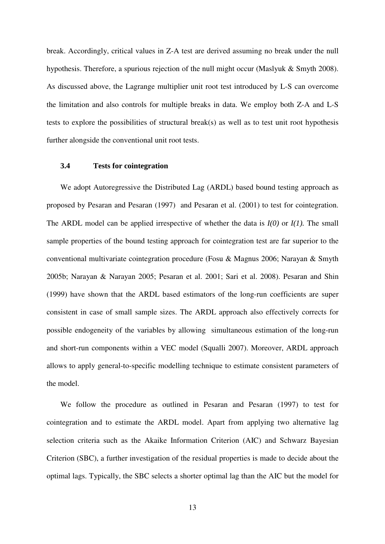break. Accordingly, critical values in Z-A test are derived assuming no break under the null hypothesis. Therefore, a spurious rejection of the null might occur (Maslyuk & Smyth 2008). As discussed above, the Lagrange multiplier unit root test introduced by L-S can overcome the limitation and also controls for multiple breaks in data. We employ both Z-A and L-S tests to explore the possibilities of structural break(s) as well as to test unit root hypothesis further alongside the conventional unit root tests.

# **3.4 Tests for cointegration**

We adopt Autoregressive the Distributed Lag (ARDL) based bound testing approach as proposed by Pesaran and Pesaran (1997) and Pesaran et al. (2001) to test for cointegration. The ARDL model can be applied irrespective of whether the data is *I(0)* or *I(1).* The small sample properties of the bound testing approach for cointegration test are far superior to the conventional multivariate cointegration procedure (Fosu & Magnus 2006; Narayan & Smyth 2005b; Narayan & Narayan 2005; Pesaran et al. 2001; Sari et al. 2008). Pesaran and Shin (1999) have shown that the ARDL based estimators of the long-run coefficients are super consistent in case of small sample sizes. The ARDL approach also effectively corrects for possible endogeneity of the variables by allowing simultaneous estimation of the long-run and short-run components within a VEC model (Squalli 2007). Moreover, ARDL approach allows to apply general-to-specific modelling technique to estimate consistent parameters of the model.

We follow the procedure as outlined in Pesaran and Pesaran (1997) to test for cointegration and to estimate the ARDL model. Apart from applying two alternative lag selection criteria such as the Akaike Information Criterion (AIC) and Schwarz Bayesian Criterion (SBC), a further investigation of the residual properties is made to decide about the optimal lags. Typically, the SBC selects a shorter optimal lag than the AIC but the model for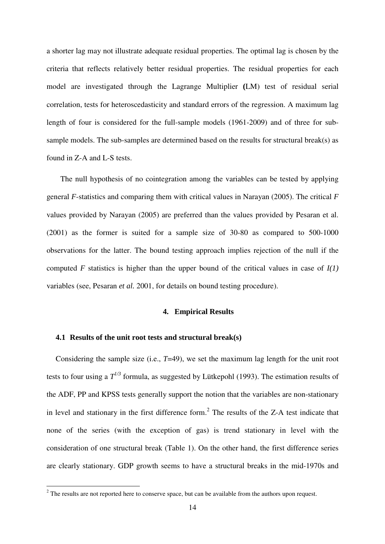a shorter lag may not illustrate adequate residual properties. The optimal lag is chosen by the criteria that reflects relatively better residual properties. The residual properties for each model are investigated through the Lagrange Multiplier **(**LM) test of residual serial correlation, tests for heteroscedasticity and standard errors of the regression. A maximum lag length of four is considered for the full-sample models (1961-2009) and of three for subsample models. The sub-samples are determined based on the results for structural break(s) as found in Z-A and L-S tests.

The null hypothesis of no cointegration among the variables can be tested by applying general *F*-statistics and comparing them with critical values in Narayan (2005). The critical *F* values provided by Narayan (2005) are preferred than the values provided by Pesaran et al. (2001) as the former is suited for a sample size of 30-80 as compared to 500-1000 observations for the latter. The bound testing approach implies rejection of the null if the computed *F* statistics is higher than the upper bound of the critical values in case of *I(1)* variables (see, Pesaran *et al.* 2001, for details on bound testing procedure).

## **4. Empirical Results**

#### **4.1 Results of the unit root tests and structural break(s)**

Considering the sample size (i.e., *T*=49), we set the maximum lag length for the unit root tests to four using a  $T^{1/3}$  formula, as suggested by Lütkepohl (1993). The estimation results of the ADF, PP and KPSS tests generally support the notion that the variables are non-stationary in level and stationary in the first difference form.<sup>2</sup> The results of the Z-A test indicate that none of the series (with the exception of gas) is trend stationary in level with the consideration of one structural break (Table 1). On the other hand, the first difference series are clearly stationary. GDP growth seems to have a structural breaks in the mid-1970s and

<sup>&</sup>lt;sup>2</sup> The results are not reported here to conserve space, but can be available from the authors upon request.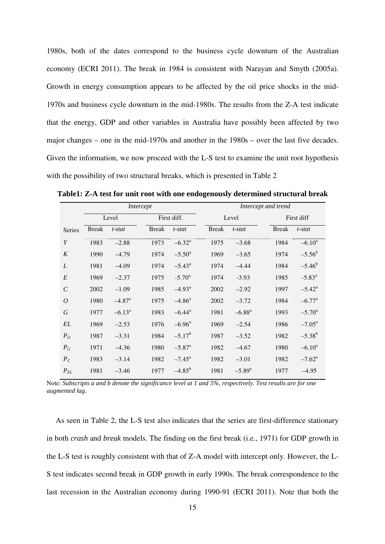1980s, both of the dates correspond to the business cycle downturn of the Australian economy (ECRI 2011). The break in 1984 is consistent with Narayan and Smyth (2005a). Growth in energy consumption appears to be affected by the oil price shocks in the mid-1970s and business cycle downturn in the mid-1980s. The results from the Z-A test indicate that the energy, GDP and other variables in Australia have possibly been affected by two major changes – one in the mid-1970s and another in the 1980s – over the last five decades. Given the information, we now proceed with the L-S test to examine the unit root hypothesis with the possibility of two structural breaks, which is presented in Table 2

|                | Intercept    |                      |              |                      |  | Intercept and trend |                      |              |                      |  |
|----------------|--------------|----------------------|--------------|----------------------|--|---------------------|----------------------|--------------|----------------------|--|
|                |              | Level                |              | First diff.          |  | Level               |                      |              | First diff           |  |
| <b>Series</b>  | <b>Break</b> | t-stat               | <b>Break</b> | $t$ -stat            |  | <b>Break</b>        | $t$ -stat            | <b>Break</b> | t-stat               |  |
| Y              | 1983         | $-2.88$              | 1973         | $-6.32^{\rm a}$      |  | 1975                | $-3.68$              | 1984         | $-6.10^a$            |  |
| K              | 1990         | $-4.79$              | 1974         | $-5.50^{\circ}$      |  | 1969                | $-3.65$              | 1974         | $-5.56^b$            |  |
| L              | 1981         | $-4.09$              | 1974         | $-5.43^{\circ}$      |  | 1974                | $-4.44$              | 1984         | $-5.46^b$            |  |
| E              | 1969         | $-2.37$              | 1975         | $-5.70^{\circ}$      |  | 1974                | $-3.93$              | 1985         | $-5.83^{\circ}$      |  |
| $\mathcal{C}$  | 2002         | $-1.09$              | 1985         | $-4.93$ <sup>a</sup> |  | 2002                | $-2.92$              | 1997         | $-5.42^{\circ}$      |  |
| $\overline{O}$ | 1980         | $-4.87$ <sup>a</sup> | 1975         | $-4.86^a$            |  | 2002                | $-3.72$              | 1984         | $-6.77$ <sup>a</sup> |  |
| G              | 1977         | $-6.13^a$            | 1983         | $-6.44$ <sup>a</sup> |  | 1981                | $-6.88^{a}$          | 1993         | $-5.70^{\circ}$      |  |
| EL             | 1969         | $-2.53$              | 1976         | $-6.96^{\text{a}}$   |  | 1969                | $-2.54$              | 1986         | $-7.05^{\rm a}$      |  |
| $P_{O}$        | 1987         | $-3.31$              | 1984         | $-5.17^{\rm b}$      |  | 1987                | $-3.52$              | 1982         | $-5.38^{b}$          |  |
| $P_G$          | 1971         | $-4.36$              | 1980         | $-5.87$ <sup>a</sup> |  | 1982                | $-4.67$              | 1980         | $-6.10^a$            |  |
| $P_C$          | 1983         | $-3.14$              | 1982         | $-7.45^{\circ}$      |  | 1982                | $-3.01$              | 1982         | $-7.62$ <sup>a</sup> |  |
| $P_{EL}$       | 1981         | $-3.46$              | 1977         | $-4.85^{b}$          |  | 1981                | $-5.89$ <sup>a</sup> | 1977         | $-4.95$              |  |

**Table1: Z-A test for unit root with one endogenously determined structural break** 

Note: *Subscripts a and b denote the significance level at 1 and 5%, respectively. Test results are for one augmented lag.*

As seen in Table 2, the L-S test also indicates that the series are first-difference stationary in both *crash* and *break* models. The finding on the first break (i.e., 1971) for GDP growth in the L-S test is roughly consistent with that of Z-A model with intercept only. However, the L-S test indicates second break in GDP growth in early 1990s. The break correspondence to the last recession in the Australian economy during 1990-91 (ECRI 2011). Note that both the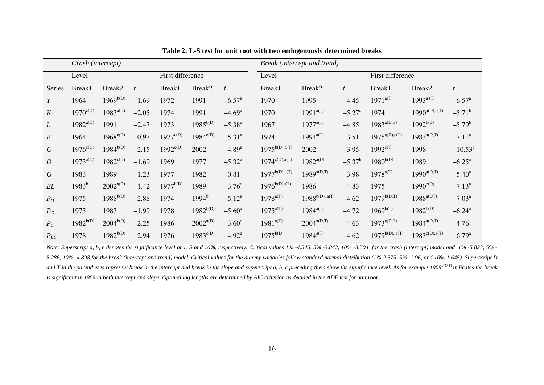|                   | Crash (intercept)         |                      |         |                      |                      | Break (intercept and trend) |                    |                      |                 |                     |                       |                      |
|-------------------|---------------------------|----------------------|---------|----------------------|----------------------|-----------------------------|--------------------|----------------------|-----------------|---------------------|-----------------------|----------------------|
|                   | First difference<br>Level |                      |         |                      | Level                |                             |                    | First difference     |                 |                     |                       |                      |
| <b>Series</b>     | Break1                    | Break <sub>2</sub>   |         | Break1               | Break <sub>2</sub>   |                             | Break1             | Break <sub>2</sub>   |                 | Break1              | Break2                | $\mathbf{t}$         |
| Y                 | 1964                      | $1969^{b(D)}$        | $-1.69$ | 1972                 | 1991                 | $-6.57$ <sup>a</sup>        | 1970               | 1995                 | $-4.45$         | $1971^{a(T)}$       | $1993^{\text{a (T)}}$ | $-6.57$ <sup>a</sup> |
| K                 | $1970^{\text{c}(D)}$      | $1983^{a(D)}$        | $-2.05$ | 1974                 | 1991                 | $-4.69$ <sup>a</sup>        | 1970               | $1991^{a(T)}$        | $-5.27^{\circ}$ | 1974                | $1990^{a(D),c(T)}$    | $-5.71^{\rm b}$      |
| L                 | $1982^{a(D)}$             | 1991                 | $-2.47$ | 1973                 | $1985^{b(D)}$        | $-5.38^{a}$                 | 1967               | $1977^{a(T)}$        | $-4.85$         | $1983^{a(D,T)}$     | $1992^{b(T)}$         | $-5.79^{b}$          |
| $\boldsymbol{E}$  | 1964                      | $1968^{\text{c}(D)}$ | $-0.97$ | $1977^{\text{c}(D)}$ | $1984^{c(D)}$        | $-5.31^{\circ}$             | 1974               | $1994^{a(T)}$        | $-3.51$         | $1975^{a(D),c(T)}$  | $1983^{a(D,T)}$       | $-7.11^a$            |
| $\mathcal{C}$     | $1976^{\text{c}(D)}$      | $1984^{b(D)}$        | $-2.15$ | $1992^{c(D)}$        | 2002                 | $-4.89$ <sup>a</sup>        | $1975^{b(D),a(T)}$ | 2002                 | $-3.95$         | $1992^{c(T)}$       | 1998                  | $-10.53^{\circ}$     |
| $\overline{O}$    | $1973^{a(D)}$             | $1982^{c(D)}$        | $-1.69$ | 1969                 | 1977                 | $-5.32^{\rm a}$             | $1974^{c(D),a(T)}$ | $1982^{a(D)}$        | $-5.37^b$       | $1980^{b(D)}$       | 1989                  | $-6.25^{\text{a}}$   |
| G                 | 1983                      | 1989                 | 1.23    | 1977                 | 1982                 | $-0.81$                     | $1977^{b(D),a(T)}$ | $1989^{a(D,T)}$      | $-3.98$         | $1978^{a(T)}$       | $1990^{a(D,T)}$       | $-5.40^{\circ}$      |
| EL                | $1983^{b}$                | $2002^{a(D)}$        | $-1.42$ | $1977^{b(D)}$        | 1989                 | $-3.76^{\circ}$             | $1976^{b(D)a(T)}$  | 1986                 | $-4.83$         | 1975                | $1990^{\text{c}(D)}$  | $-7.13^a$            |
| $P_O$             | 1975                      | $1988^{b(D)}$        | $-2.88$ | 1974                 | $1994^{\rm b}$       | $-5.12^a$                   | $1978^{a(T)}$      | $1988^{b(D),\ a(T)}$ | $-4.62$         | $1979^{b(D,T)}$     | $1988^{a(DT)}$        | $-7.03^{\text{a}}$   |
| $P_G$             | 1975                      | 1983                 | $-1.99$ | 1978                 | $1982^{b(D)}$        | $-5.60^{\circ}$             | $1975^{a(T)}$      | $1984^{a(T)}$        | $-4.72$         | $1969^{b(T)}$       | $1982^{b(D)}$         | $-6.24$ <sup>a</sup> |
| $P_C$             | $1982^{b(D)}$             | $2004^{b(D)}$        | $-2.25$ | 1986                 | $2002^{a(D)}$        | $-3.60^{\circ}$             | $1981^{a(T)}$      | $2004^{a(D,T)}$      | $-4.63$         | $1973^{a(D,T)}$     | $1984^{a(D,T)}$       | $-4.76$              |
| $P_{\mathit{EL}}$ | 1978                      | $1982^{b(D)}$        | $-2.94$ | 1976                 | $1983^{\text{c}(D)}$ | $-4.92^{\text{a}}$          | $1975^{b(D)}$      | $1984^{a(T)}$        | $-4.62$         | $1979^{b(D), a(T)}$ | $1983^{c(D),a(T)}$    | $-6.79$ <sup>a</sup> |

**Table 2: L-S test for unit root with two endogenously determined breaks** 

*Note: Superscript a, b, c denotes the significance level at 1, 5 and 10%, respectively. Critical values 1% -4.545, 5% -3.842, 10% -3.504 for the crash (intercept) model and 1% -5.823, 5% - 5.286, 10% -4.898 for the break (intercept and trend) model. Critical values for the dummy variables follow standard normal distribution (1%-2.575, 5%- 1.96, and 10%-1.645). Superscript D*  and T in the parentheses represent break in the intercept and break in the slope and superscript a, b, c preceding them show the significance level. As for example 1969<sup>b(D,T)</sup> indicates the break *is significant in 1969 in both intercept and slope. Optimal lag lengths are determined by AIC criterion as decided in the ADF test for unit root.*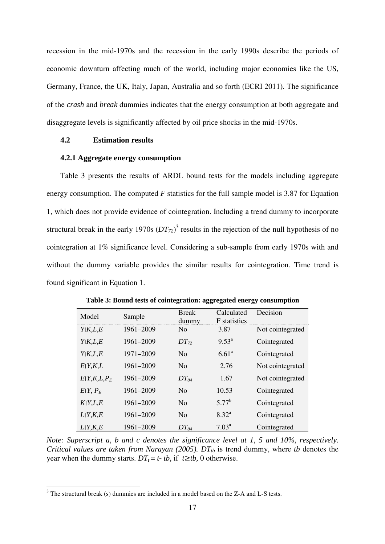recession in the mid-1970s and the recession in the early 1990s describe the periods of economic downturn affecting much of the world, including major economies like the US, Germany, France, the UK, Italy, Japan, Australia and so forth (ECRI 2011). The significance of the *crash* and *break* dummies indicates that the energy consumption at both aggregate and disaggregate levels is significantly affected by oil price shocks in the mid-1970s.

# **4.2 Estimation results**

## **4.2.1 Aggregate energy consumption**

Table 3 presents the results of ARDL bound tests for the models including aggregate energy consumption. The computed *F* statistics for the full sample model is 3.87 for Equation 1, which does not provide evidence of cointegration. Including a trend dummy to incorporate structural break in the early 1970s  $(DT<sub>72</sub>)<sup>3</sup>$  results in the rejection of the null hypothesis of no cointegration at 1% significance level. Considering a sub-sample from early 1970s with and without the dummy variable provides the similar results for cointegration. Time trend is found significant in Equation 1.

| Model                    | Sample    | <b>Break</b><br>dummy | Calculated<br><b>F</b> statistics | Decision         |
|--------------------------|-----------|-----------------------|-----------------------------------|------------------|
| Y K,L,E                  | 1961-2009 | N <sub>0</sub>        | 3.87                              | Not cointegrated |
| Y K,L,E                  | 1961-2009 | $DT_{72}$             | $9.53^{\circ}$                    | Cointegrated     |
| Y K,L,E                  | 1971-2009 | N <sub>0</sub>        | $6.61^{\circ}$                    | Cointegrated     |
| E[Y,K,L]                 | 1961-2009 | $\overline{N}_{0}$    | 2.76                              | Not cointegrated |
| E[Y,K,L,P <sub>E</sub> ] | 1961-2009 | $DT_{84}$             | 1.67                              | Not cointegrated |
| $E[Y, P_F]$              | 1961-2009 | N <sub>0</sub>        | 10.53                             | Cointegrated     |
| K Y,L,E                  | 1961-2009 | N <sub>0</sub>        | $5.77^{b}$                        | Cointegrated     |
| L(Y,K,E)                 | 1961-2009 | N <sub>0</sub>        | $8.32^{\rm a}$                    | Cointegrated     |
| L(Y,K,E)                 | 1961–2009 | $DT_{84}$             | $7.03^{\rm a}$                    | Cointegrated     |

**Table 3: Bound tests of cointegration: aggregated energy consumption** 

*Note: Superscript a, b and c denotes the significance level at 1, 5 and 10%, respectively. Critical values are taken from Narayan (2005).*  $DT_{tb}$  is trend dummy, where *tb* denotes the year when the dummy starts.  $DT_t = t$ - *tb*, if  $t \geq t$ *b*, 0 otherwise.

 $\overline{a}$ 

 $3$  The structural break (s) dummies are included in a model based on the Z-A and L-S tests.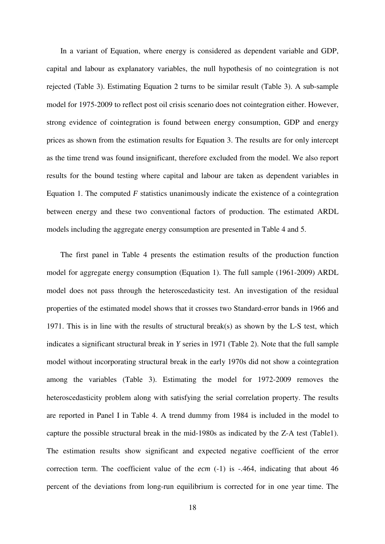In a variant of Equation, where energy is considered as dependent variable and GDP, capital and labour as explanatory variables, the null hypothesis of no cointegration is not rejected (Table 3). Estimating Equation 2 turns to be similar result (Table 3). A sub-sample model for 1975-2009 to reflect post oil crisis scenario does not cointegration either. However, strong evidence of cointegration is found between energy consumption, GDP and energy prices as shown from the estimation results for Equation 3. The results are for only intercept as the time trend was found insignificant, therefore excluded from the model. We also report results for the bound testing where capital and labour are taken as dependent variables in Equation 1. The computed *F* statistics unanimously indicate the existence of a cointegration between energy and these two conventional factors of production. The estimated ARDL models including the aggregate energy consumption are presented in Table 4 and 5.

The first panel in Table 4 presents the estimation results of the production function model for aggregate energy consumption (Equation 1). The full sample (1961-2009) ARDL model does not pass through the heteroscedasticity test. An investigation of the residual properties of the estimated model shows that it crosses two Standard-error bands in 1966 and 1971. This is in line with the results of structural break(s) as shown by the L-S test, which indicates a significant structural break in *Y* series in 1971 (Table 2). Note that the full sample model without incorporating structural break in the early 1970s did not show a cointegration among the variables (Table 3). Estimating the model for 1972-2009 removes the heteroscedasticity problem along with satisfying the serial correlation property. The results are reported in Panel I in Table 4. A trend dummy from 1984 is included in the model to capture the possible structural break in the mid-1980s as indicated by the Z-A test (Table1). The estimation results show significant and expected negative coefficient of the error correction term. The coefficient value of the *ecm* (-1) is -.464, indicating that about 46 percent of the deviations from long-run equilibrium is corrected for in one year time. The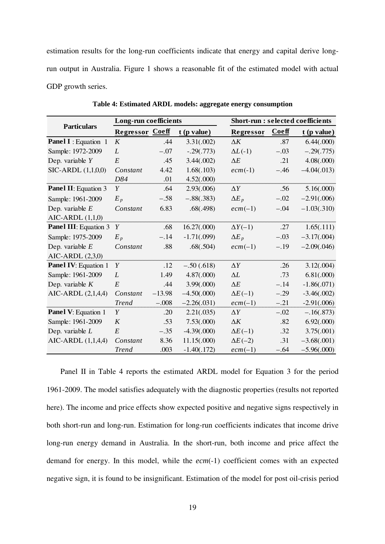estimation results for the long-run coefficients indicate that energy and capital derive longrun output in Australia. Figure 1 shows a reasonable fit of the estimated model with actual GDP growth series.

|                              | Long-run coefficients  |          |               |                  | <b>Short-run : selected coefficients</b> |               |  |  |
|------------------------------|------------------------|----------|---------------|------------------|------------------------------------------|---------------|--|--|
| <b>Particulars</b>           | <b>Regressor Coeff</b> |          | $t$ (p value) | Regressor        | <b>Coeff</b>                             | $t$ (p value) |  |  |
| <b>Panel I</b> : Equation 1  | K                      | .44      | 3.31(.002)    | $\Delta K$       | .87                                      | 6.44(.000)    |  |  |
| Sample: 1972-2009            | L                      | $-.07$   | $-.29(.773)$  | $\Delta L$ (-1)  | $-.03$                                   | $-.29(.775)$  |  |  |
| Dep. variable $Y$            | E                      | .45      | 3.44(.002)    | $\Delta E$       | .21                                      | 4.08(.000)    |  |  |
| SIC-ARDL (1,1,0,0)           | Constant               | 4.42     | 1.68(.103)    | $ecm(-1)$        | $-.46$                                   | $-4.04(.013)$ |  |  |
|                              | D84                    | .01      | 4.52(.000)    |                  |                                          |               |  |  |
| <b>Panel II:</b> Equation 3  | Y                      | .64      | 2.93(.006)    | $\Delta Y$       | .56                                      | 5.16(.000)    |  |  |
| Sample: 1961-2009            | $E_p$                  | $-.58$   | $-.88(.383)$  | $\Delta E_{p}$   | $-.02$                                   | $-2.91(.006)$ |  |  |
| Dep. variable $E$            | Constant               | 6.83     | .68(.498)     | $ecm(-1)$        | $-.04$                                   | $-1.03(.310)$ |  |  |
| AIC-ARDL $(1,1,0)$           |                        |          |               |                  |                                          |               |  |  |
| <b>Panel III:</b> Equation 3 | Y                      | .68      | 16.27(.000)   | $\Delta Y(-1)$   | .27                                      | 1.65(.111)    |  |  |
| Sample: 1975-2009            | $E_p$                  | $-.14$   | $-1.71(.099)$ | $\Delta E_{\,p}$ | $-.03$                                   | $-3.17(.004)$ |  |  |
| Dep. variable $E$            | Constant               | .88      | .68(.504)     | $ecm(-1)$        | $-.19$                                   | $-2.09(.046)$ |  |  |
| AIC-ARDL (2,3,0)             |                        |          |               |                  |                                          |               |  |  |
| <b>Panel IV:</b> Equation 1  | Y                      | .12      | $-.50(.618)$  | $\Delta Y$       | .26                                      | 3.12(.004)    |  |  |
| Sample: 1961-2009            | L                      | 1.49     | 4.87(.000)    | $\Delta L$       | .73                                      | 6.81(.000)    |  |  |
| Dep. variable $K$            | E                      | .44      | 3.99(.000)    | $\Delta E$       | $-.14$                                   | $-1.86(.071)$ |  |  |
| AIC-ARDL (2,1,4,4)           | Constant               | $-13.98$ | $-4.50(.000)$ | $\Delta E(-1)$   | $-.29$                                   | $-3.46(.002)$ |  |  |
|                              | <b>Trend</b>           | $-.008$  | $-2.26(.031)$ | $ecm(-1)$        | $-.21$                                   | $-2.91(.006)$ |  |  |
| <b>Panel V: Equation 1</b>   | Y                      | .20      | 2.21(.035)    | $\Delta Y$       | $-.02$                                   | $-.16(.873)$  |  |  |
| Sample: 1961-2009            | K                      | .53      | 7.53(.000)    | $\Delta K$       | .82                                      | 6.92(.000)    |  |  |
| Dep. variable $L$            | E                      | $-.35$   | $-4.39(.000)$ | $\Delta E(-1)$   | .32                                      | 3.75(.001)    |  |  |
| AIC-ARDL (1,1,4,4)           | Constant               | 8.36     | 11.15(.000)   | $\Delta E(-2)$   | .31                                      | $-3.68(.001)$ |  |  |
|                              | <b>Trend</b>           | .003     | $-1.40(.172)$ | $ecm(-1)$        | $-.64$                                   | $-5.96(.000)$ |  |  |

**Table 4: Estimated ARDL models: aggregate energy consumption** 

Panel II in Table 4 reports the estimated ARDL model for Equation 3 for the period 1961-2009. The model satisfies adequately with the diagnostic properties (results not reported here). The income and price effects show expected positive and negative signs respectively in both short-run and long-run. Estimation for long-run coefficients indicates that income drive long-run energy demand in Australia. In the short-run, both income and price affect the demand for energy. In this model, while the *ecm*(-1) coefficient comes with an expected negative sign, it is found to be insignificant. Estimation of the model for post oil-crisis period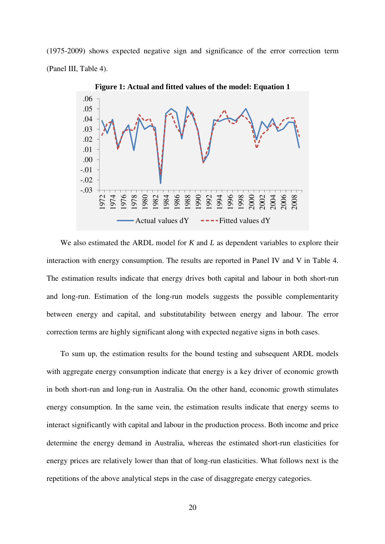(1975-2009) shows expected negative sign and significance of the error correction term (Panel III, Table 4).



**Figure 1: Actual and fitted values of the model: Equation 1** 

We also estimated the ARDL model for *K* and *L* as dependent variables to explore their interaction with energy consumption. The results are reported in Panel IV and V in Table 4. The estimation results indicate that energy drives both capital and labour in both short-run and long-run. Estimation of the long-run models suggests the possible complementarity between energy and capital, and substitutability between energy and labour. The error correction terms are highly significant along with expected negative signs in both cases.

To sum up, the estimation results for the bound testing and subsequent ARDL models with aggregate energy consumption indicate that energy is a key driver of economic growth in both short-run and long-run in Australia. On the other hand, economic growth stimulates energy consumption. In the same vein, the estimation results indicate that energy seems to interact significantly with capital and labour in the production process. Both income and price determine the energy demand in Australia, whereas the estimated short-run elasticities for energy prices are relatively lower than that of long-run elasticities. What follows next is the repetitions of the above analytical steps in the case of disaggregate energy categories.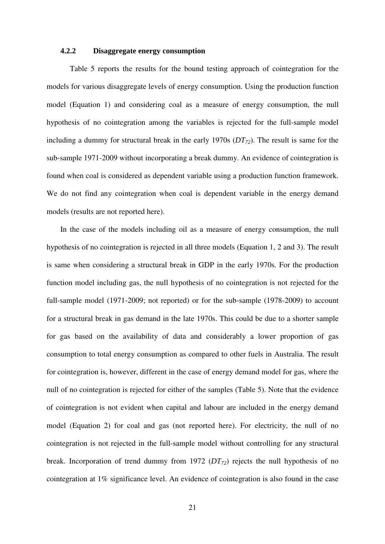## **4.2.2 Disaggregate energy consumption**

 Table 5 reports the results for the bound testing approach of cointegration for the models for various disaggregate levels of energy consumption. Using the production function model (Equation 1) and considering coal as a measure of energy consumption, the null hypothesis of no cointegration among the variables is rejected for the full-sample model including a dummy for structural break in the early 1970s (*DT72*). The result is same for the sub-sample 1971-2009 without incorporating a break dummy. An evidence of cointegration is found when coal is considered as dependent variable using a production function framework. We do not find any cointegration when coal is dependent variable in the energy demand models (results are not reported here).

In the case of the models including oil as a measure of energy consumption, the null hypothesis of no cointegration is rejected in all three models (Equation 1, 2 and 3). The result is same when considering a structural break in GDP in the early 1970s. For the production function model including gas, the null hypothesis of no cointegration is not rejected for the full-sample model (1971-2009; not reported) or for the sub-sample (1978-2009) to account for a structural break in gas demand in the late 1970s. This could be due to a shorter sample for gas based on the availability of data and considerably a lower proportion of gas consumption to total energy consumption as compared to other fuels in Australia. The result for cointegration is, however, different in the case of energy demand model for gas, where the null of no cointegration is rejected for either of the samples (Table 5). Note that the evidence of cointegration is not evident when capital and labour are included in the energy demand model (Equation 2) for coal and gas (not reported here). For electricity, the null of no cointegration is not rejected in the full-sample model without controlling for any structural break. Incorporation of trend dummy from 1972 (*DT72*) rejects the null hypothesis of no cointegration at 1% significance level. An evidence of cointegration is also found in the case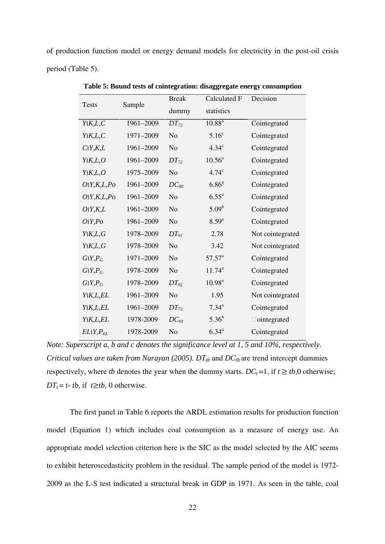of production function model or energy demand models for electricity in the post-oil crisis period (Table 5).

|           | <b>Break</b>   | <b>Calculated F</b> | Decision           |  |
|-----------|----------------|---------------------|--------------------|--|
|           | dummy          | statistics          |                    |  |
| 1961-2009 | $DT_{72}$      | $10.88^{a}$         | Cointegrated       |  |
| 1971-2009 | N <sub>o</sub> | 5.16 <sup>c</sup>   | Cointegrated       |  |
| 1961-2009 | N <sub>o</sub> | 4.34 <sup>c</sup>   | Cointegrated       |  |
| 1961-2009 | $DT_{72}$      | $10.56^{\circ}$     | Cointegrated       |  |
| 1975-2009 | N <sub>o</sub> | 4.74 <sup>c</sup>   | Cointegrated       |  |
| 1961-2009 | $DC_{80}$      | $6.86^{a}$          | Cointegrated       |  |
| 1961-2009 | N <sub>o</sub> | $6.55^{\rm a}$      | Cointegrated       |  |
| 1961-2009 | N <sub>o</sub> | $5.09^{\rm b}$      | Cointegrated       |  |
| 1961-2009 | N <sub>o</sub> | $8.59^{a}$          | Cointegrated       |  |
| 1978-2009 | $DT_{91}$      | 2.78                | Not cointegrated   |  |
| 1978-2009 | N <sub>o</sub> | 3.42                | Not cointegrated   |  |
| 1971-2009 | N <sub>o</sub> | $57.57^{\circ}$     | Cointegrated       |  |
| 1978-2009 | N <sub>o</sub> | $11.74^a$           | Cointegrated       |  |
| 1978-2009 | $DT_{92}$      | 10.98 <sup>a</sup>  | Cointegrated       |  |
| 1961-2009 | N <sub>o</sub> | 1.95                | Not cointegrated   |  |
| 1961-2009 | $DT_{72}$      | $7.34^{a}$          | Cointegrated       |  |
| 1978-2009 | $DC_{91}$      | $5.36^{b}$          | $\Box$ ointegrated |  |
| 1978-2009 | N <sub>o</sub> | $6.34^{a}$          | Cointegrated       |  |
|           | Sample         |                     |                    |  |

**Table 5: Bound tests of cointegration: disaggregate energy consumption** 

*Note: Superscript a, b and c denotes the significance level at 1, 5 and 10%, respectively. Critical values are taken from Narayan (2005).*  $DT_{tb}$  and  $DC_{tb}$  are trend intercept dummies respectively, where *tb* denotes the year when the dummy starts.  $DC_t = 1$ , if  $t \geq tb$ ,0 otherwise;  $DT<sub>t</sub> = t-$ *tb*, if *t* $\ge$ *tb*, 0 otherwise.

The first panel in Table 6 reports the ARDL estimation results for production function model (Equation 1) which includes coal consumption as a measure of energy use. An appropriate model selection criterion here is the SIC as the model selected by the AIC seems to exhibit heteroscedasticity problem in the residual. The sample period of the model is 1972- 2009 as the L-S test indicated a structural break in GDP in 1971. As seen in the table, coal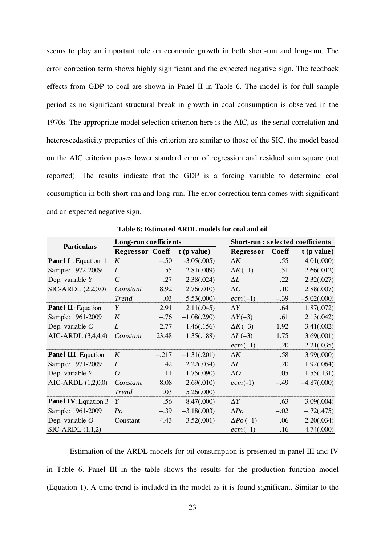seems to play an important role on economic growth in both short-run and long-run. The error correction term shows highly significant and the expected negative sign. The feedback effects from GDP to coal are shown in Panel II in Table 6. The model is for full sample period as no significant structural break in growth in coal consumption is observed in the 1970s. The appropriate model selection criterion here is the AIC, as the serial correlation and heteroscedasticity properties of this criterion are similar to those of the SIC, the model based on the AIC criterion poses lower standard error of regression and residual sum square (not reported). The results indicate that the GDP is a forcing variable to determine coal consumption in both short-run and long-run. The error correction term comes with significant and an expected negative sign.

|                              | Long-run coefficients  |         |               |                  | <b>Short-run : selected coefficients</b> |               |  |  |
|------------------------------|------------------------|---------|---------------|------------------|------------------------------------------|---------------|--|--|
| <b>Particulars</b>           | <b>Regressor Coeff</b> |         | $t$ (p value) | <b>Regressor</b> | Coeff                                    | $t$ (p value) |  |  |
| <b>Panel I</b> : Equation 1  | K                      | $-.50$  | $-3.05(.005)$ | $\Delta K$       | .55                                      | 4.01(.000)    |  |  |
| Sample: 1972-2009            | L                      | .55     | 2.81(.009)    | $\Delta K(-1)$   | .51                                      | 2.66(.012)    |  |  |
| Dep. variable $Y$            | $\mathcal{C}$          | .27     | 2.38(.024)    | $\Delta L$       | .22                                      | 2.32(.027)    |  |  |
| SIC-ARDL (2,2,0,0)           | Constant               | 8.92    | 2.76(.010)    | $\Delta C$       | .10                                      | 2.88(.007)    |  |  |
|                              | <b>Trend</b>           | .03     | 5.53(.000)    | $ecm(-1)$        | $-.39$                                   | $-5.02(.000)$ |  |  |
| <b>Panel II:</b> Equation 1  | Y                      | 2.91    | 2.11(.045)    | $\Delta Y$       | .64                                      | 1.87(.072)    |  |  |
| Sample: 1961-2009            | K                      | $-.76$  | $-1.08(.290)$ | $\Delta Y(-3)$   | .61                                      | 2.13(.042)    |  |  |
| Dep. variable $C$            | L                      | 2.77    | $-1.46(.156)$ | $\Delta K(-3)$   | $-1.92$                                  | $-3.41(.002)$ |  |  |
| AIC-ARDL $(3,4,4,4)$         | Constant               | 23.48   | 1.35(.188)    | $\Delta L$ (-3)  | 1.75                                     | 3.69(.001)    |  |  |
|                              |                        |         |               | $ecm(-1)$        | $-.20$                                   | $-2.21(.035)$ |  |  |
| <b>Panel III:</b> Equation 1 | K                      | $-.217$ | $-1.31(.201)$ | $\Delta K$       | .58                                      | 3.99(.000)    |  |  |
| Sample: 1971-2009            | L                      | .42     | 2.22(.034)    | $\Delta L$       | .20                                      | 1.92(.064)    |  |  |
| Dep. variable $Y$            | $\overline{O}$         | .11     | 1.75(.090)    | $\Delta O$       | .05                                      | 1.55(.131)    |  |  |
| AIC-ARDL (1,2,0,0)           | Constant               | 8.08    | 2.69(.010)    | $ecm(-1)$        | $-.49$                                   | $-4.87(.000)$ |  |  |
|                              | <b>Trend</b>           | .03     | 5.26(.000)    |                  |                                          |               |  |  |
| <b>Panel IV:</b> Equation 3  | Y                      | .56     | 8.47(.000)    | $\Delta Y$       | .63                                      | 3.09(.004)    |  |  |
| Sample: 1961-2009            | $P_{O}$                | $-.39$  | $-3.18(.003)$ | $\Delta Po$      | $-.02$                                   | $-.72(.475)$  |  |  |
| Dep. variable $O$            | Constant               | 4.43    | 3.52(.001)    | $\Delta Po$ (-1) | .06                                      | 2.20(.034)    |  |  |
| $SIC-ARDL(1,1,2)$            |                        |         |               | $ecm(-1)$        | $-.16$                                   | $-4.74(.000)$ |  |  |

**Table 6: Estimated ARDL models for coal and oil** 

Estimation of the ARDL models for oil consumption is presented in panel III and IV in Table 6. Panel III in the table shows the results for the production function model (Equation 1). A time trend is included in the model as it is found significant. Similar to the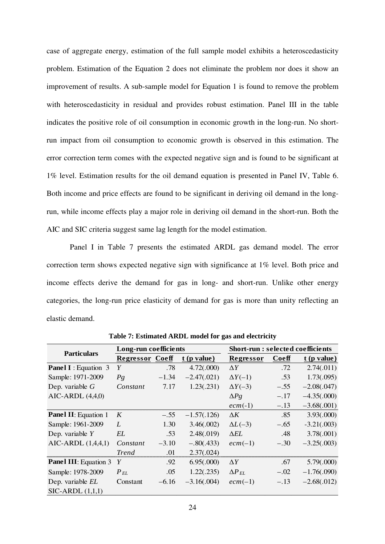case of aggregate energy, estimation of the full sample model exhibits a heteroscedasticity problem. Estimation of the Equation 2 does not eliminate the problem nor does it show an improvement of results. A sub-sample model for Equation 1 is found to remove the problem with heteroscedasticity in residual and provides robust estimation. Panel III in the table indicates the positive role of oil consumption in economic growth in the long-run. No shortrun impact from oil consumption to economic growth is observed in this estimation. The error correction term comes with the expected negative sign and is found to be significant at 1% level. Estimation results for the oil demand equation is presented in Panel IV, Table 6. Both income and price effects are found to be significant in deriving oil demand in the longrun, while income effects play a major role in deriving oil demand in the short-run. Both the AIC and SIC criteria suggest same lag length for the model estimation.

Panel I in Table 7 presents the estimated ARDL gas demand model. The error correction term shows expected negative sign with significance at 1% level. Both price and income effects derive the demand for gas in long- and short-run. Unlike other energy categories, the long-run price elasticity of demand for gas is more than unity reflecting an elastic demand.

| <b>Particulars</b>           | Long-run coefficients  |         |               | <b>Short-run : selected coefficients</b> |        |               |  |
|------------------------------|------------------------|---------|---------------|------------------------------------------|--------|---------------|--|
|                              | <b>Regressor Coeff</b> |         | $t$ (p value) | Regressor                                | Coeff  | $t$ (p value) |  |
| <b>Panel I</b> : Equation 3  | Y                      | .78     | 4.72(.000)    | $\Delta Y$                               | .72    | 2.74(.011)    |  |
| Sample: 1971-2009            | $P_{\mathcal{S}}$      | $-1.34$ | $-2.47(.021)$ | $\Delta Y(-1)$                           | .53    | 1.73(.095)    |  |
| Dep. variable $G$            | Constant               | 7.17    | 1.23(.231)    | $\Delta Y(-3)$                           | $-.55$ | $-2.08(.047)$ |  |
| AIC-ARDL $(4,4,0)$           |                        |         |               | $\Delta Pg$                              | $-.17$ | $-4.35(.000)$ |  |
|                              |                        |         |               | $ecm(-1)$                                | $-.13$ | $-3.68(.001)$ |  |
| <b>Panel II:</b> Equation 1  | K                      | $-.55$  | $-1.57(.126)$ | $\Delta K$                               | .85    | 3.93(.000)    |  |
| Sample: 1961-2009            | L                      | 1.30    | 3.46(.002)    | $\Delta L$ (-3)                          | $-.65$ | $-3.21(.003)$ |  |
| Dep. variable $Y$            | EL                     | .53     | 2.48(.019)    | $\Delta EL$                              | .48    | 3.78(.001)    |  |
| AIC-ARDL $(1,4,4,1)$         | Constant               | $-3.10$ | $-.80(.433)$  | $ecm(-1)$                                | $-.30$ | $-3.25(.003)$ |  |
|                              | <i>Trend</i>           | .01     | 2.37(.024)    |                                          |        |               |  |
| <b>Panel III:</b> Equation 3 | Y                      | .92     | 6.95(.000)    | $\Delta Y$                               | .67    | 5.79(.000)    |  |
| Sample: 1978-2009            | $P_{EL}$               | .05     | 1.22(.235)    | $\Delta P_{EL}$                          | $-.02$ | $-1.76(.090)$ |  |
| Dep. variable EL             | Constant               | $-6.16$ | $-3.16(.004)$ | $ecm(-1)$                                | $-.13$ | $-2.68(.012)$ |  |
| $SIC-ARDL(1,1,1)$            |                        |         |               |                                          |        |               |  |

**Table 7: Estimated ARDL model for gas and electricity**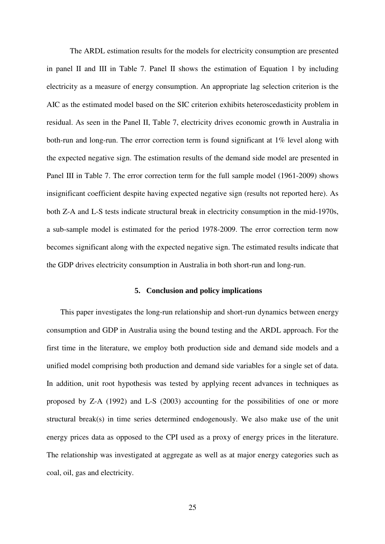The ARDL estimation results for the models for electricity consumption are presented in panel II and III in Table 7. Panel II shows the estimation of Equation 1 by including electricity as a measure of energy consumption. An appropriate lag selection criterion is the AIC as the estimated model based on the SIC criterion exhibits heteroscedasticity problem in residual. As seen in the Panel II, Table 7, electricity drives economic growth in Australia in both-run and long-run. The error correction term is found significant at 1% level along with the expected negative sign. The estimation results of the demand side model are presented in Panel III in Table 7. The error correction term for the full sample model (1961-2009) shows insignificant coefficient despite having expected negative sign (results not reported here). As both Z-A and L-S tests indicate structural break in electricity consumption in the mid-1970s, a sub-sample model is estimated for the period 1978-2009. The error correction term now becomes significant along with the expected negative sign. The estimated results indicate that the GDP drives electricity consumption in Australia in both short-run and long-run.

## **5. Conclusion and policy implications**

This paper investigates the long-run relationship and short-run dynamics between energy consumption and GDP in Australia using the bound testing and the ARDL approach. For the first time in the literature, we employ both production side and demand side models and a unified model comprising both production and demand side variables for a single set of data. In addition, unit root hypothesis was tested by applying recent advances in techniques as proposed by Z-A (1992) and L-S (2003) accounting for the possibilities of one or more structural break(s) in time series determined endogenously. We also make use of the unit energy prices data as opposed to the CPI used as a proxy of energy prices in the literature. The relationship was investigated at aggregate as well as at major energy categories such as coal, oil, gas and electricity.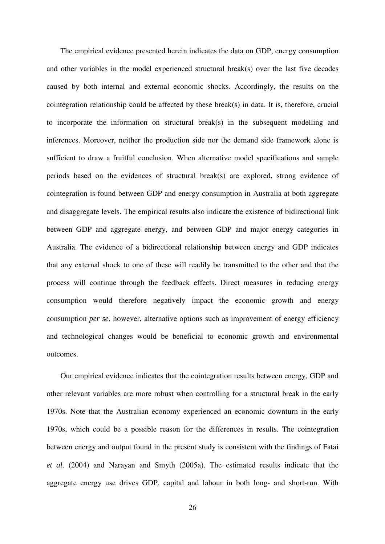The empirical evidence presented herein indicates the data on GDP, energy consumption and other variables in the model experienced structural break(s) over the last five decades caused by both internal and external economic shocks. Accordingly, the results on the cointegration relationship could be affected by these break(s) in data. It is, therefore, crucial to incorporate the information on structural break(s) in the subsequent modelling and inferences. Moreover, neither the production side nor the demand side framework alone is sufficient to draw a fruitful conclusion. When alternative model specifications and sample periods based on the evidences of structural break(s) are explored, strong evidence of cointegration is found between GDP and energy consumption in Australia at both aggregate and disaggregate levels. The empirical results also indicate the existence of bidirectional link between GDP and aggregate energy, and between GDP and major energy categories in Australia. The evidence of a bidirectional relationship between energy and GDP indicates that any external shock to one of these will readily be transmitted to the other and that the process will continue through the feedback effects. Direct measures in reducing energy consumption would therefore negatively impact the economic growth and energy consumption *per se*, however, alternative options such as improvement of energy efficiency and technological changes would be beneficial to economic growth and environmental outcomes.

Our empirical evidence indicates that the cointegration results between energy, GDP and other relevant variables are more robust when controlling for a structural break in the early 1970s. Note that the Australian economy experienced an economic downturn in the early 1970s, which could be a possible reason for the differences in results. The cointegration between energy and output found in the present study is consistent with the findings of Fatai *et al.* (2004) and Narayan and Smyth (2005a). The estimated results indicate that the aggregate energy use drives GDP, capital and labour in both long- and short-run. With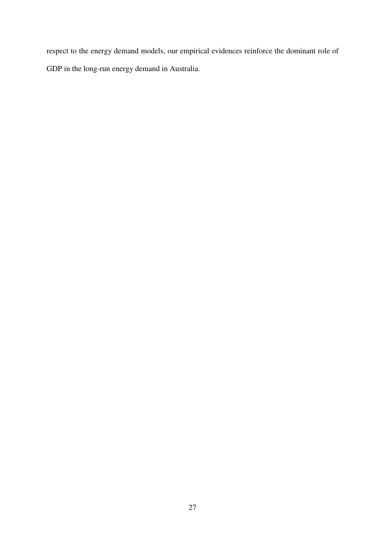respect to the energy demand models, our empirical evidences reinforce the dominant role of GDP in the long-run energy demand in Australia.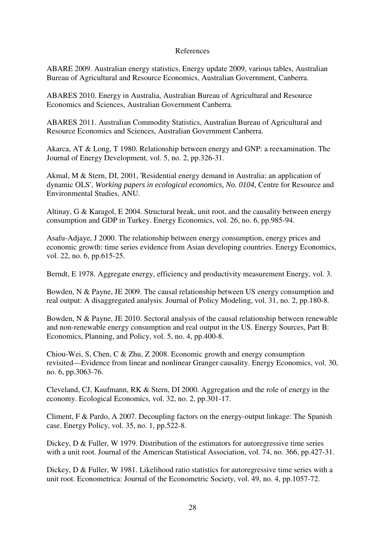# References

ABARE 2009. Australian energy statistics, Energy update 2009, various tables, Australian Bureau of Agricultural and Resource Economics, Australian Government, Canberra.

ABARES 2010. Energy in Australia, Australian Bureau of Agricultural and Resource Economics and Sciences, Australian Government Canberra.

ABARES 2011. Australian Commodity Statistics, Australian Bureau of Agricultural and Resource Economics and Sciences, Australian Government Canberra.

Akarca, AT & Long, T 1980. Relationship between energy and GNP: a reexamination. The Journal of Energy Development, vol. 5, no. 2, pp.326-31.

Akmal, M & Stern, DI, 2001, 'Residential energy demand in Australia: an application of dynamic OLS', *Working papers in ecological economics, No. 0104,* Centre for Resource and Environmental Studies, ANU.

Altinay, G & Karagol, E 2004. Structural break, unit root, and the causality between energy consumption and GDP in Turkey. Energy Economics, vol. 26, no. 6, pp.985-94.

Asafu-Adjaye, J 2000. The relationship between energy consumption, energy prices and economic growth: time series evidence from Asian developing countries. Energy Economics, vol. 22, no. 6, pp.615-25.

Berndt, E 1978. Aggregate energy, efficiency and productivity measurement Energy, vol. 3.

Bowden, N & Payne, JE 2009. The causal relationship between US energy consumption and real output: A disaggregated analysis. Journal of Policy Modeling, vol. 31, no. 2, pp.180-8.

Bowden, N & Payne, JE 2010. Sectoral analysis of the causal relationship between renewable and non-renewable energy consumption and real output in the US. Energy Sources, Part B: Economics, Planning, and Policy, vol. 5, no. 4, pp.400-8.

Chiou-Wei, S, Chen, C & Zhu, Z 2008. Economic growth and energy consumption revisited—Evidence from linear and nonlinear Granger causality. Energy Economics, vol. 30, no. 6, pp.3063-76.

Cleveland, CJ, Kaufmann, RK & Stern, DI 2000. Aggregation and the role of energy in the economy. Ecological Economics, vol. 32, no. 2, pp.301-17.

Climent, F & Pardo, A 2007. Decoupling factors on the energy-output linkage: The Spanish case. Energy Policy, vol. 35, no. 1, pp.522-8.

Dickey, D & Fuller, W 1979. Distribution of the estimators for autoregressive time series with a unit root. Journal of the American Statistical Association, vol. 74, no. 366, pp.427-31.

Dickey, D & Fuller, W 1981. Likelihood ratio statistics for autoregressive time series with a unit root. Econometrica: Journal of the Econometric Society, vol. 49, no. 4, pp.1057-72.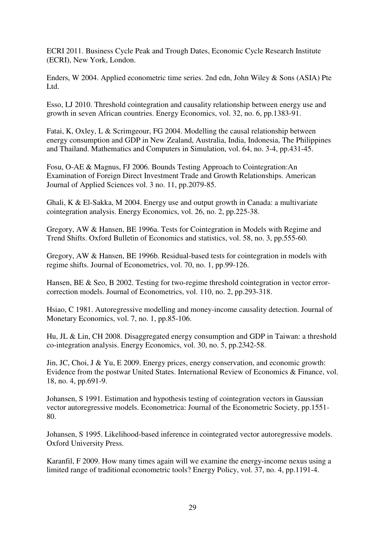ECRI 2011. Business Cycle Peak and Trough Dates, Economic Cycle Research Institute (ECRI), New York, London.

Enders, W 2004. Applied econometric time series. 2nd edn, John Wiley & Sons (ASIA) Pte Ltd.

Esso, LJ 2010. Threshold cointegration and causality relationship between energy use and growth in seven African countries. Energy Economics, vol. 32, no. 6, pp.1383-91.

Fatai, K, Oxley, L & Scrimgeour, FG 2004. Modelling the causal relationship between energy consumption and GDP in New Zealand, Australia, India, Indonesia, The Philippines and Thailand. Mathematics and Computers in Simulation, vol. 64, no. 3-4, pp.431-45.

Fosu, O-AE & Magnus, FJ 2006. Bounds Testing Approach to Cointegration:An Examination of Foreign Direct Investment Trade and Growth Relationships. American Journal of Applied Sciences vol. 3 no. 11, pp.2079-85.

Ghali, K & El-Sakka, M 2004. Energy use and output growth in Canada: a multivariate cointegration analysis. Energy Economics, vol. 26, no. 2, pp.225-38.

Gregory, AW & Hansen, BE 1996a. Tests for Cointegration in Models with Regime and Trend Shifts. Oxford Bulletin of Economics and statistics, vol. 58, no. 3, pp.555-60.

Gregory, AW & Hansen, BE 1996b. Residual-based tests for cointegration in models with regime shifts. Journal of Econometrics, vol. 70, no. 1, pp.99-126.

Hansen, BE & Seo, B 2002. Testing for two-regime threshold cointegration in vector errorcorrection models. Journal of Econometrics, vol. 110, no. 2, pp.293-318.

Hsiao, C 1981. Autoregressive modelling and money-income causality detection. Journal of Monetary Economics, vol. 7, no. 1, pp.85-106.

Hu, JL & Lin, CH 2008. Disaggregated energy consumption and GDP in Taiwan: a threshold co-integration analysis. Energy Economics, vol. 30, no. 5, pp.2342-58.

Jin, JC, Choi, J & Yu, E 2009. Energy prices, energy conservation, and economic growth: Evidence from the postwar United States. International Review of Economics & Finance, vol. 18, no. 4, pp.691-9.

Johansen, S 1991. Estimation and hypothesis testing of cointegration vectors in Gaussian vector autoregressive models. Econometrica: Journal of the Econometric Society, pp.1551- 80.

Johansen, S 1995. Likelihood-based inference in cointegrated vector autoregressive models. Oxford University Press.

Karanfil, F 2009. How many times again will we examine the energy-income nexus using a limited range of traditional econometric tools? Energy Policy, vol. 37, no. 4, pp.1191-4.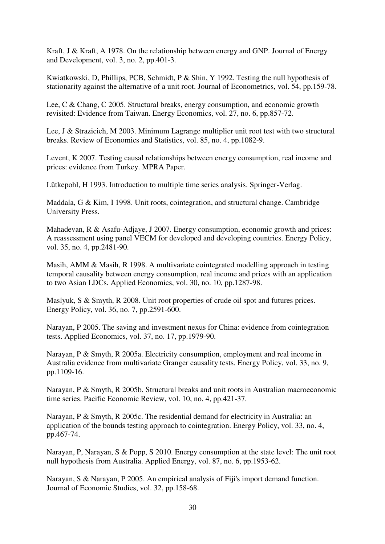Kraft, J & Kraft, A 1978. On the relationship between energy and GNP. Journal of Energy and Development, vol. 3, no. 2, pp.401-3.

Kwiatkowski, D, Phillips, PCB, Schmidt, P & Shin, Y 1992. Testing the null hypothesis of stationarity against the alternative of a unit root. Journal of Econometrics, vol. 54, pp.159-78.

Lee, C & Chang, C 2005. Structural breaks, energy consumption, and economic growth revisited: Evidence from Taiwan. Energy Economics, vol. 27, no. 6, pp.857-72.

Lee, J & Strazicich, M 2003. Minimum Lagrange multiplier unit root test with two structural breaks. Review of Economics and Statistics, vol. 85, no. 4, pp.1082-9.

Levent, K 2007. Testing causal relationships between energy consumption, real income and prices: evidence from Turkey. MPRA Paper.

Lütkepohl, H 1993. Introduction to multiple time series analysis. Springer-Verlag.

Maddala, G & Kim, I 1998. Unit roots, cointegration, and structural change. Cambridge University Press.

Mahadevan, R & Asafu-Adjaye, J 2007. Energy consumption, economic growth and prices: A reassessment using panel VECM for developed and developing countries. Energy Policy, vol. 35, no. 4, pp.2481-90.

Masih, AMM & Masih, R 1998. A multivariate cointegrated modelling approach in testing temporal causality between energy consumption, real income and prices with an application to two Asian LDCs. Applied Economics, vol. 30, no. 10, pp.1287-98.

Maslyuk, S & Smyth, R 2008. Unit root properties of crude oil spot and futures prices. Energy Policy, vol. 36, no. 7, pp.2591-600.

Narayan, P 2005. The saving and investment nexus for China: evidence from cointegration tests. Applied Economics, vol. 37, no. 17, pp.1979-90.

Narayan, P & Smyth, R 2005a. Electricity consumption, employment and real income in Australia evidence from multivariate Granger causality tests. Energy Policy, vol. 33, no. 9, pp.1109-16.

Narayan, P & Smyth, R 2005b. Structural breaks and unit roots in Australian macroeconomic time series. Pacific Economic Review, vol. 10, no. 4, pp.421-37.

Narayan, P & Smyth, R 2005c. The residential demand for electricity in Australia: an application of the bounds testing approach to cointegration. Energy Policy, vol. 33, no. 4, pp.467-74.

Narayan, P, Narayan, S & Popp, S 2010. Energy consumption at the state level: The unit root null hypothesis from Australia. Applied Energy, vol. 87, no. 6, pp.1953-62.

Narayan, S & Narayan, P 2005. An empirical analysis of Fiji's import demand function. Journal of Economic Studies, vol. 32, pp.158-68.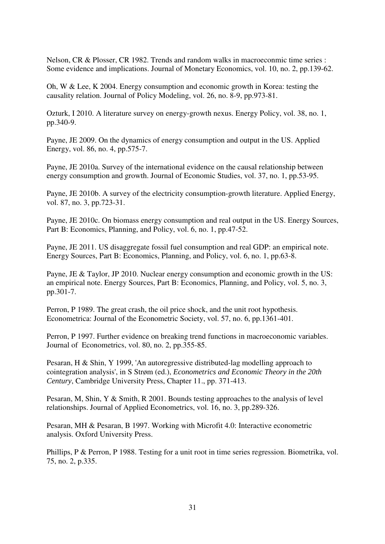Nelson, CR & Plosser, CR 1982. Trends and random walks in macroeconmic time series : Some evidence and implications. Journal of Monetary Economics, vol. 10, no. 2, pp.139-62.

Oh, W & Lee, K 2004. Energy consumption and economic growth in Korea: testing the causality relation. Journal of Policy Modeling, vol. 26, no. 8-9, pp.973-81.

Ozturk, I 2010. A literature survey on energy-growth nexus. Energy Policy, vol. 38, no. 1, pp.340-9.

Payne, JE 2009. On the dynamics of energy consumption and output in the US. Applied Energy, vol. 86, no. 4, pp.575-7.

Payne, JE 2010a. Survey of the international evidence on the causal relationship between energy consumption and growth. Journal of Economic Studies, vol. 37, no. 1, pp.53-95.

Payne, JE 2010b. A survey of the electricity consumption-growth literature. Applied Energy, vol. 87, no. 3, pp.723-31.

Payne, JE 2010c. On biomass energy consumption and real output in the US. Energy Sources, Part B: Economics, Planning, and Policy, vol. 6, no. 1, pp.47-52.

Payne, JE 2011. US disaggregate fossil fuel consumption and real GDP: an empirical note. Energy Sources, Part B: Economics, Planning, and Policy, vol. 6, no. 1, pp.63-8.

Payne, JE & Taylor, JP 2010. Nuclear energy consumption and economic growth in the US: an empirical note. Energy Sources, Part B: Economics, Planning, and Policy, vol. 5, no. 3, pp.301-7.

Perron, P 1989. The great crash, the oil price shock, and the unit root hypothesis. Econometrica: Journal of the Econometric Society, vol. 57, no. 6, pp.1361-401.

Perron, P 1997. Further evidence on breaking trend functions in macroeconomic variables. Journal of Econometrics, vol. 80, no. 2, pp.355-85.

Pesaran, H & Shin, Y 1999, 'An autoregressive distributed-lag modelling approach to cointegration analysis', in S Strøm (ed.), *Econometrics and Economic Theory in the 20th Century*, Cambridge University Press, Chapter 11., pp. 371-413.

Pesaran, M, Shin, Y & Smith, R 2001. Bounds testing approaches to the analysis of level relationships. Journal of Applied Econometrics, vol. 16, no. 3, pp.289-326.

Pesaran, MH & Pesaran, B 1997. Working with Microfit 4.0: Interactive econometric analysis. Oxford University Press.

Phillips, P & Perron, P 1988. Testing for a unit root in time series regression. Biometrika, vol. 75, no. 2, p.335.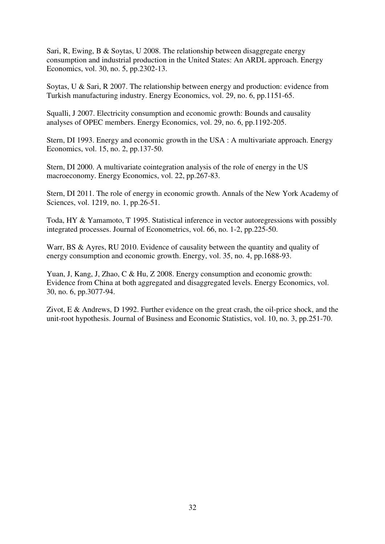Sari, R, Ewing, B & Soytas, U 2008. The relationship between disaggregate energy consumption and industrial production in the United States: An ARDL approach. Energy Economics, vol. 30, no. 5, pp.2302-13.

Soytas, U & Sari, R 2007. The relationship between energy and production: evidence from Turkish manufacturing industry. Energy Economics, vol. 29, no. 6, pp.1151-65.

Squalli, J 2007. Electricity consumption and economic growth: Bounds and causality analyses of OPEC members. Energy Economics, vol. 29, no. 6, pp.1192-205.

Stern, DI 1993. Energy and economic growth in the USA : A multivariate approach. Energy Economics, vol. 15, no. 2, pp.137-50.

Stern, DI 2000. A multivariate cointegration analysis of the role of energy in the US macroeconomy. Energy Economics, vol. 22, pp.267-83.

Stern, DI 2011. The role of energy in economic growth. Annals of the New York Academy of Sciences, vol. 1219, no. 1, pp.26-51.

Toda, HY & Yamamoto, T 1995. Statistical inference in vector autoregressions with possibly integrated processes. Journal of Econometrics, vol. 66, no. 1-2, pp.225-50.

Warr, BS & Ayres, RU 2010. Evidence of causality between the quantity and quality of energy consumption and economic growth. Energy, vol. 35, no. 4, pp.1688-93.

Yuan, J, Kang, J, Zhao, C & Hu, Z 2008. Energy consumption and economic growth: Evidence from China at both aggregated and disaggregated levels. Energy Economics, vol. 30, no. 6, pp.3077-94.

Zivot, E & Andrews, D 1992. Further evidence on the great crash, the oil-price shock, and the unit-root hypothesis. Journal of Business and Economic Statistics, vol. 10, no. 3, pp.251-70.